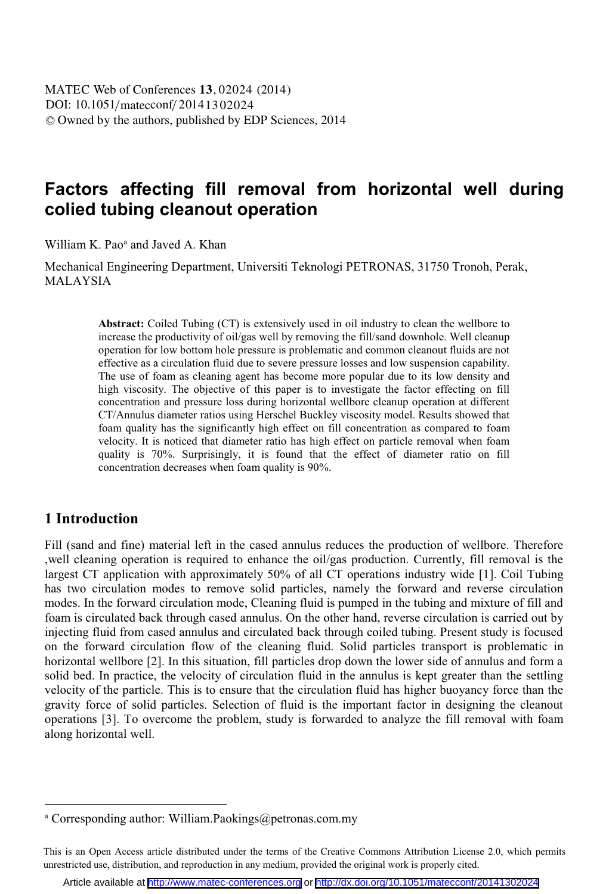# **Factors affecting fill removal from horizontal well during colied tubing cleanout operation**

William K. Pao<sup>a</sup> and Javed A. Khan

Mechanical Engineering Department, Universiti Teknologi PETRONAS, 31750 Tronoh, Perak, MALAYSIA

> **Abstract:** Coiled Tubing (CT) is extensively used in oil industry to clean the wellbore to increase the productivity of oil/gas well by removing the fill/sand downhole. Well cleanup operation for low bottom hole pressure is problematic and common cleanout fluids are not effective as a circulation fluid due to severe pressure losses and low suspension capability. The use of foam as cleaning agent has become more popular due to its low density and high viscosity. The objective of this paper is to investigate the factor effecting on fill concentration and pressure loss during horizontal wellbore cleanup operation at different CT/Annulus diameter ratios using Herschel Buckley viscosity model. Results showed that foam quality has the significantly high effect on fill concentration as compared to foam velocity. It is noticed that diameter ratio has high effect on particle removal when foam quality is 70%. Surprisingly, it is found that the effect of diameter ratio on fill concentration decreases when foam quality is 90%.

## **1 Introduction**

 $\overline{a}$ 

Fill (sand and fine) material left in the cased annulus reduces the production of wellbore. Therefore ,well cleaning operation is required to enhance the oil/gas production. Currently, fill removal is the largest CT application with approximately 50% of all CT operations industry wide [1]. Coil Tubing has two circulation modes to remove solid particles, namely the forward and reverse circulation modes. In the forward circulation mode, Cleaning fluid is pumped in the tubing and mixture of fill and foam is circulated back through cased annulus. On the other hand, reverse circulation is carried out by injecting fluid from cased annulus and circulated back through coiled tubing. Present study is focused on the forward circulation flow of the cleaning fluid. Solid particles transport is problematic in horizontal wellbore [2]. In this situation, fill particles drop down the lower side of annulus and form a solid bed. In practice, the velocity of circulation fluid in the annulus is kept greater than the settling velocity of the particle. This is to ensure that the circulation fluid has higher buoyancy force than the gravity force of solid particles. Selection of fluid is the important factor in designing the cleanout operations [3]. To overcome the problem, study is forwarded to analyze the fill removal with foam along horizontal well.

<sup>&</sup>lt;sup>a</sup> Corresponding author: William.Paokings@petronas.com.my

This is an Open Access article distributed under the terms of the Creative Commons Attribution License 2.0, which permits unrestricted use, distribution, and reproduction in any medium, provided the original work is properly cited.

Article available at <http://www.matec-conferences.org> or <http://dx.doi.org/10.1051/matecconf/20141302024>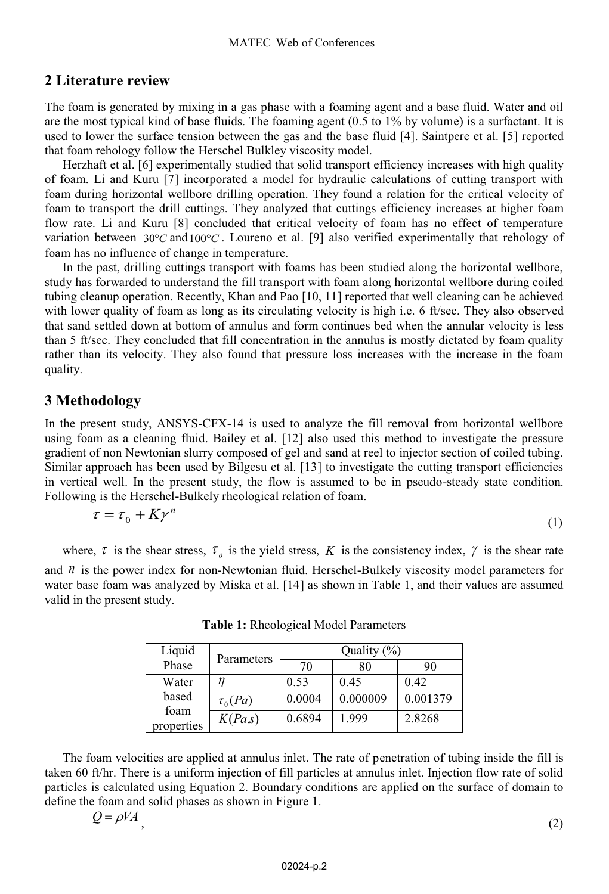# **2 Literature review**

The foam is generated by mixing in a gas phase with a foaming agent and a base fluid. Water and oil are the most typical kind of base fluids. The foaming agent (0.5 to 1% by volume) is a surfactant. It is used to lower the surface tension between the gas and the base fluid [4]. Saintpere et al. [5] reported that foam rehology follow the Herschel Bulkley viscosity model.

Herzhaft et al. [6] experimentally studied that solid transport efficiency increases with high quality of foam. Li and Kuru [7] incorporated a model for hydraulic calculations of cutting transport with foam during horizontal wellbore drilling operation. They found a relation for the critical velocity of foam to transport the drill cuttings. They analyzed that cuttings efficiency increases at higher foam flow rate. Li and Kuru [8] concluded that critical velocity of foam has no effect of temperature variation between 30°C and 100°C. Loureno et al. [9] also verified experimentally that rehology of foam has no influence of change in temperature.

In the past, drilling cuttings transport with foams has been studied along the horizontal wellbore, study has forwarded to understand the fill transport with foam along horizontal wellbore during coiled tubing cleanup operation. Recently, Khan and Pao [10, 11] reported that well cleaning can be achieved with lower quality of foam as long as its circulating velocity is high i.e. 6 ft/sec. They also observed that sand settled down at bottom of annulus and form continues bed when the annular velocity is less than 5 ft/sec. They concluded that fill concentration in the annulus is mostly dictated by foam quality rather than its velocity. They also found that pressure loss increases with the increase in the foam quality.

# **3 Methodology**

In the present study, ANSYS-CFX-14 is used to analyze the fill removal from horizontal wellbore using foam as a cleaning fluid. Bailey et al. [12] also used this method to investigate the pressure gradient of non Newtonian slurry composed of gel and sand at reel to injector section of coiled tubing. Similar approach has been used by Bilgesu et al. [13] to investigate the cutting transport efficiencies in vertical well. In the present study, the flow is assumed to be in pseudo-steady state condition. Following is the Herschel-Bulkely rheological relation of foam. *<sup>n</sup>*

$$
\tau = \tau_0 + K\gamma^n \tag{1}
$$

where,  $\tau$  is the shear stress,  $\tau_o$  is the yield stress, K is the consistency index,  $\gamma$  is the shear rate and  $n$  is the power index for non-Newtonian fluid. Herschel-Bulkely viscosity model parameters for water base foam was analyzed by Miska et al. [14] as shown in Table 1, and their values are assumed valid in the present study.

| Liquid        | Parameters   | Quality $(\%)$ |          |          |
|---------------|--------------|----------------|----------|----------|
| Phase         |              | 70             | 80       | 90       |
| Water         |              | 0.53           | 0.45     | 0.42     |
| based<br>foam | $\tau_0(Pa)$ | 0.0004         | 0.000009 | 0.001379 |
| properties    | K(Pa.s)      | 0.6894         | 1.999    | 2.8268   |

**Table 1:** Rheological Model Parameters

The foam velocities are applied at annulus inlet. The rate of penetration of tubing inside the fill is taken 60 ft/hr. There is a uniform injection of fill particles at annulus inlet. Injection flow rate of solid particles is calculated using Equation 2. Boundary conditions are applied on the surface of domain to define the foam and solid phases as shown in Figure 1.

$$
Q = \rho V A \tag{2}
$$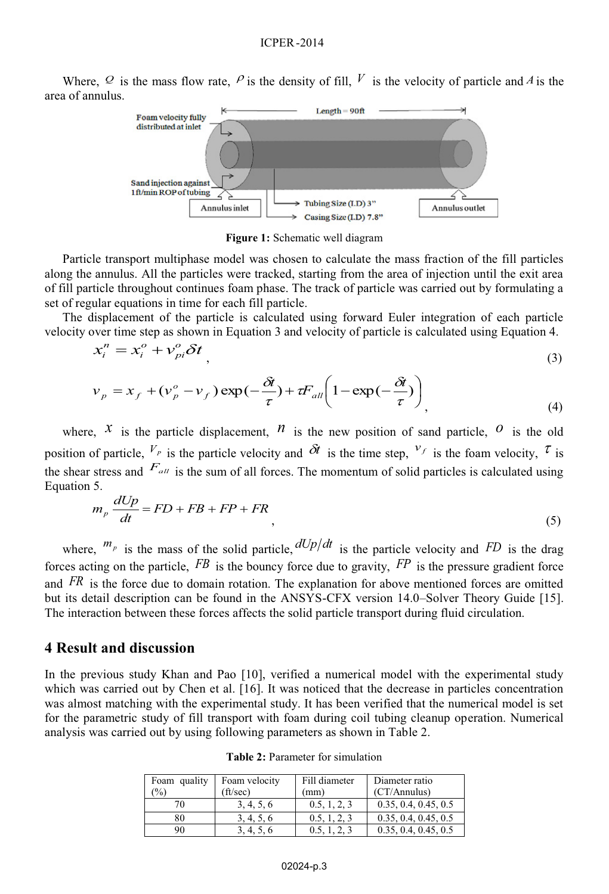Where,  $Q$  is the mass flow rate,  $P$  is the density of fill,  $V$  is the velocity of particle and  $A$  is the area of annulus.



**Figure 1:** Schematic well diagram

Particle transport multiphase model was chosen to calculate the mass fraction of the fill particles along the annulus. All the particles were tracked, starting from the area of injection until the exit area of fill particle throughout continues foam phase. The track of particle was carried out by formulating a set of regular equations in time for each fill particle.

The displacement of the particle is calculated using forward Euler integration of each particle velocity over time step as shown in Equation 3 and velocity of particle is calculated using Equation 4.

$$
x_i^n = x_i^o + v_{pi}^o \delta t \tag{3}
$$

$$
v_p = x_f + (v_p^o - v_f) \exp(-\frac{\delta t}{\tau}) + tF_{all} \left(1 - \exp(-\frac{\delta t}{\tau})\right)
$$
\n(4)

where,  $X$  is the particle displacement,  $n$  is the new position of sand particle,  $O$  is the old position of particle,  $V_P$  is the particle velocity and  $\delta t$  is the time step,  $V_f$  is the foam velocity,  $\tau$  is the shear stress and  $F_{all}$  is the sum of all forces. The momentum of solid particles is calculated using Equation 5.

$$
m_p \frac{dUp}{dt} = FD + FB + FP + FR
$$
\n(5)

where,  $^{m_p}$  is the mass of the solid particle,  $dUp/dt$  is the particle velocity and *FD* is the drag forces acting on the particle,  $FB$  is the bouncy force due to gravity,  $FP$  is the pressure gradient force and *FR* is the force due to domain rotation. The explanation for above mentioned forces are omitted but its detail description can be found in the ANSYS-CFX version 14.0–Solver Theory Guide [15]. The interaction between these forces affects the solid particle transport during fluid circulation.

#### **4 Result and discussion**

In the previous study Khan and Pao [10], verified a numerical model with the experimental study which was carried out by Chen et al. [16]. It was noticed that the decrease in particles concentration was almost matching with the experimental study. It has been verified that the numerical model is set for the parametric study of fill transport with foam during coil tubing cleanup operation. Numerical analysis was carried out by using following parameters as shown in Table 2.

| Foam quality  | Foam velocity | Fill diameter | Diameter ratio       |
|---------------|---------------|---------------|----------------------|
| $\frac{1}{2}$ | (ft/sec)      | (mm)          | (CT/Annulus)         |
| 70            | 3, 4, 5, 6    | 0.5, 1, 2, 3  | 0.35, 0.4, 0.45, 0.5 |
| 80            | 3, 4, 5, 6    | 0.5, 1, 2, 3  | 0.35, 0.4, 0.45, 0.5 |
| 90            | 3, 4, 5, 6    | 0.5, 1, 2, 3  | 0.35, 0.4, 0.45, 0.5 |

**Table 2:** Parameter for simulation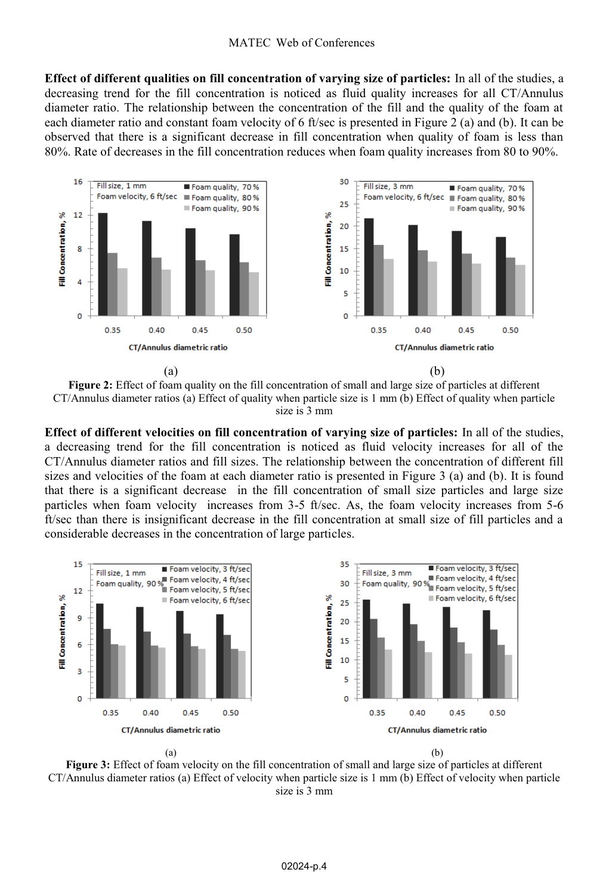**Effect of different qualities on fill concentration of varying size of particles:** In all of the studies, a decreasing trend for the fill concentration is noticed as fluid quality increases for all CT/Annulus diameter ratio. The relationship between the concentration of the fill and the quality of the foam at each diameter ratio and constant foam velocity of 6 ft/sec is presented in Figure 2 (a) and (b). It can be observed that there is a significant decrease in fill concentration when quality of foam is less than 80%. Rate of decreases in the fill concentration reduces when foam quality increases from 80 to 90%.



**Figure 2:** Effect of foam quality on the fill concentration of small and large size of particles at different CT/Annulus diameter ratios (a) Effect of quality when particle size is 1 mm (b) Effect of quality when particle size is 3 mm

**Effect of different velocities on fill concentration of varying size of particles:** In all of the studies, a decreasing trend for the fill concentration is noticed as fluid velocity increases for all of the CT/Annulus diameter ratios and fill sizes. The relationship between the concentration of different fill sizes and velocities of the foam at each diameter ratio is presented in Figure 3 (a) and (b). It is found that there is a significant decrease in the fill concentration of small size particles and large size particles when foam velocity increases from 3-5 ft/sec. As, the foam velocity increases from 5-6 ft/sec than there is insignificant decrease in the fill concentration at small size of fill particles and a considerable decreases in the concentration of large particles.



**Figure 3:** Effect of foam velocity on the fill concentration of small and large size of particles at different CT/Annulus diameter ratios (a) Effect of velocity when particle size is 1 mm (b) Effect of velocity when particle size is 3 mm